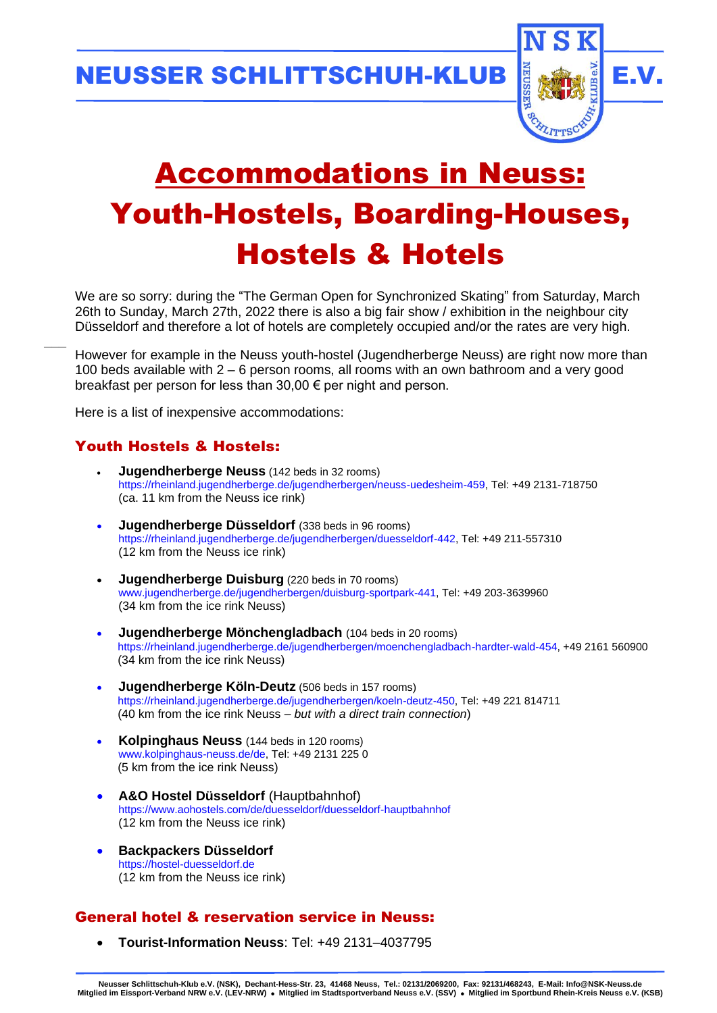NEUSSER SCHLITTSCHUH-KLUB II. AN III E.V.



# Accommodations in Neuss: Youth-Hostels, Boarding-Houses, Hostels & Hotels

We are so sorry: during the "The German Open for Synchronized Skating" from Saturday, March 26th to Sunday, March 27th, 2022 there is also a big fair show / exhibition in the neighbour city Düsseldorf and therefore a lot of hotels are completely occupied and/or the rates are very high.

However for example in the Neuss youth-hostel (Jugendherberge Neuss) are right now more than 100 beds available with 2 – 6 person rooms, all rooms with an own bathroom and a very good breakfast per person for less than 30,00 € per night and person.

Here is a list of inexpensive accommodations:

# Youth Hostels & Hostels:

 $\overline{\phantom{a}}$ 

- **Jugendherberge Neuss** (142 beds in 32 rooms) [https://rheinland.jugendherberge.de/jugendherbergen/neuss-uedesheim-459,](https://rheinland.jugendherberge.de/jugendherbergen/neuss-uedesheim-459) Tel: +49 2131-718750 (ca. 11 km from the Neuss ice rink)
- **Jugendherberge Düsseldorf** (338 beds in 96 rooms) [https://rheinland.jugendherberge.de/jugendherbergen/duesseldorf-442,](https://rheinland.jugendherberge.de/jugendherbergen/duesseldorf-442) Tel: +49 211-557310 (12 km from the Neuss ice rink)
- **Jugendherberge Duisburg** (220 beds in 70 rooms) [www.jugendherberge.de/jugendherbergen/duisburg-sportpark-441,](http://www.jugendherberge.de/jugendherbergen/duisburg-sportpark-441) Tel: +49 203-3639960 (34 km from the ice rink Neuss)
- **Jugendherberge Mönchengladbach** (104 beds in 20 rooms) [https://rheinland.jugendherberge.de/jugendherbergen/moenchengladbach-hardter-wald-454,](https://rheinland.jugendherberge.de/jugendherbergen/moenchengladbach-hardter-wald-454) +49 2161 560900 (34 km from the ice rink Neuss)
- **Jugendherberge Köln-Deutz** (506 beds in 157 rooms) [https://rheinland.jugendherberge.de/jugendherbergen/koeln-deutz-450,](https://rheinland.jugendherberge.de/jugendherbergen/koeln-deutz-450) Tel: +49 221 814711 (40 km from the ice rink Neuss – *but with a direct train connection*)
- **Kolpinghaus Neuss** (144 beds in 120 rooms) [www.kolpinghaus-neuss.de/de,](http://www.kolpinghaus-neuss.de/de) Tel: +49 2131 225 0 (5 km from the ice rink Neuss)
- **A&O Hostel Düsseldorf** (Hauptbahnhof) <https://www.aohostels.com/de/duesseldorf/duesseldorf-hauptbahnhof> (12 km from the Neuss ice rink)
- **Backpackers Düsseldorf** [https://hostel-duesseldorf.de](https://hostel-duesseldorf.de/) (12 km from the Neuss ice rink)

## General hotel & reservation service in Neuss:

• **Tourist-Information Neuss**: Tel: +49 2131–4037795